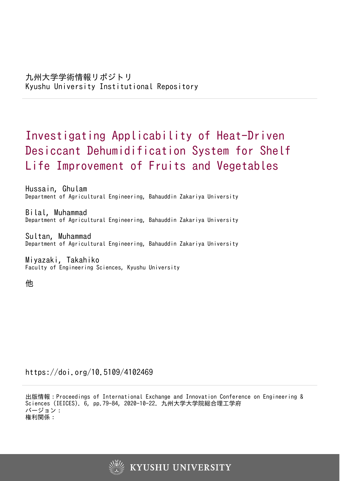# Investigating Applicability of Heat-Driven Desiccant Dehumidification System for Shelf Life Improvement of Fruits and Vegetables

Hussain, Ghulam Department of Agricultural Engineering, Bahauddin Zakariya University

Bilal, Muhammad Department of Agricultural Engineering, Bahauddin Zakariya University

Sultan, Muhammad Department of Agricultural Engineering, Bahauddin Zakariya University

Miyazaki, Takahiko Faculty of Engineering Sciences, Kyushu University

他

https://doi.org/10.5109/4102469

出版情報:Proceedings of International Exchange and Innovation Conference on Engineering & Sciences (IEICES). 6, pp.79-84, 2020-10-22. 九州大学大学院総合理工学府 バージョン: 権利関係:

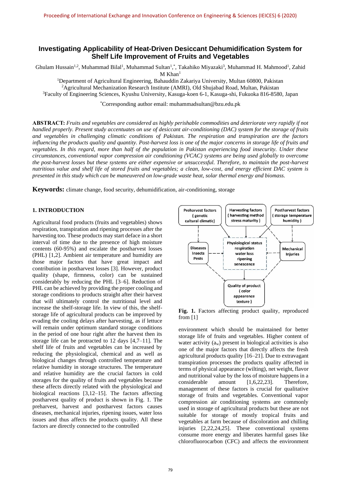# **Investigating Applicability of Heat-Driven Desiccant Dehumidification System for Shelf Life Improvement of Fruits and Vegetables**

Ghulam Hussain<sup>1,2</sup>, Muhammad Bilal<sup>1</sup>, Muhammad Sultan<sup>1</sup>,\*, Takahiko Miyazaki<sup>3</sup>, Muhammad H. Mahmood<sup>1</sup>, Zahid

 $M$  Khan<sup>1</sup>

<sup>1</sup>Department of Agricultural Engineering, Bahauddin Zakariya University, Multan 60800, Pakistan <sup>2</sup>Agricultural Mechanization Research Institute (AMRI), Old Shujabad Road, Multan, Pakistan <sup>3</sup>Faculty of Engineering Sciences, Kyushu University, Kasuga-koen 6-1, Kasuga-shi, Fukuoka 816-8580, Japan

\*Corresponding author email: [muhammadsultan@bzu.edu.pk](mailto:muhammadsultan@bzu.edu.pk)

**ABSTRACT:** *Fruits and vegetables are considered as highly perishable commodities and deteriorate very rapidly if not handled properly. Present study accentuates on use of desiccant air-conditioning (DAC) system for the storage of fruits and vegetables in challenging climatic conditions of Pakistan. The respiration and transpiration are the factors influencing the products quality and quantity. Post-harvest loss is one of the major concerns in storage life of fruits and vegetables. In this regard, more than half of the population in Pakistan experiencing food insecurity. Under these circumstances, conventional vapor compression air conditioning (VCAC) systems are being used globally to overcome the post-harvest losses but these systems are either expensive or unsuccessful. Therefore, to maintain the post-harvest nutritious value and shelf life of stored fruits and vegetables; a clean, low-cost, and energy efficient DAC system is presented in this study which can be maneuvered on low-grade waste heat, solar thermal energy and biomass.*

**Keywords:** climate change, food security, dehumidification, air-conditioning, storage

# **1. INTRODUCTION**

Agricultural food products (fruits and vegetables) shows respiration, transpiration and ripening processes after the harvesting too. These products may start deface in a short interval of time due to the presence of high moisture contents (60-95%) and escalate the postharvest losses (PHL) [1,2]. Ambient air temperature and humidity are those major factors that have great impact and contribution in postharvest losses [3]. However, product quality (shape, firmness, color) can be sustained considerably by reducing the PHL [3–6]. Reduction of PHL can be achieved by providing the proper cooling and storage conditions to products straight after their harvest that will ultimately control the nutritional level and increase the shelf-storage life. In view of this, the shelfstorage life of agricultural products can be improved by evading the cooling delays after harvesting, as if lettuce will remain under optimum standard storage conditions in the period of one hour right after the harvest then its storage life can be protracted to 12 days [4,7–11]. The shelf life of fruits and vegetables can be increased by reducing the physiological, chemical and as well as biological changes through controlled temperature and relative humidity in storage structures. The temperature and relative humidity are the crucial factors in cold storages for the quality of fruits and vegetables because these affects directly related with the physiological and biological reactions [3,12–15]. The factors affecting postharvest quality of product is shown in Fig. 1. The preharvest, harvest and postharvest factors causes diseases, mechanical injuries, ripening issues, water loss issues and thus affects the products quality. All these factors are directly connected to the controlled



Fig. 1. Factors affecting product quality, reproduced from [1]

environment which should be maintained for better storage life of fruits and vegetables. Higher content of water activity  $(a_w)$  present in biological activities is also one of the major factors that directly affects the fresh agricultural products quality [16–21]. Due to extravagant transpiration processes the products quality affected in terms of physical appearance (wilting), net weight, flavor and nutritional value by the loss of moisture happens in a considerable amount [1,6,22,23]. Therefore, management of these factors is crucial for qualitative storage of fruits and vegetables. Conventional vapor compression air conditioning systems are commonly used in storage of agricultural products but these are not suitable for storage of mostly tropical fruits and vegetables at farm because of discoloration and chilling injuries [2,22,24,25]. These conventional systems consume more energy and liberates harmful gases like chlorofluorocarbon (CFC) and affects the environment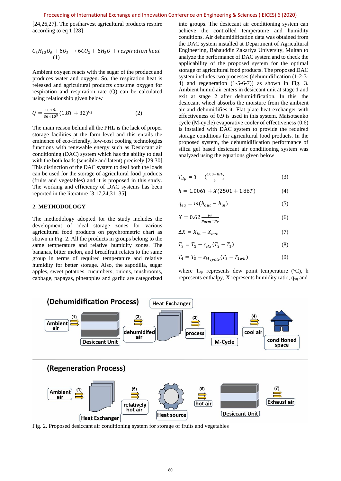[24,26,27]. The postharvest agricultural products respire according to eq 1 [28]

$$
C_6H_{12}O_6 + 6O_2 \rightarrow 6CO_2 + 6H_2O + respiration heat
$$
  
(1)

Ambient oxygen reacts with the sugar of the product and produces water and oxygen. So, the respiration heat is released and agricultural products consume oxygen for respiration and respiration rate (Q) can be calculated using relationship given below

$$
Q = \frac{10.7\theta_1}{36 \times 10^5} (1.8T + 32)^{\theta_2}
$$
 (2)

The main reason behind all the PHL is the lack of proper storage facilities at the farm level and this entails the eminence of eco-friendly, low-cost cooling technologies functions with renewable energy such as Desiccant air conditioning (DAC) system which has the ability to deal with the both loads (sensible and latent) precisely [29,30]. This distinction of the DAC system to deal both the loads can be used for the storage of agricultural food products (fruits and vegetables) and it is proposed in this study. The working and efficiency of DAC systems has been reported in the literature [3,17,24,31–35].

#### **2. METHODOLOGY**

The methodology adopted for the study includes the development of ideal storage zones for various agricultural food products on psychrometric chart as shown in Fig. 2. All the products in groups belong to the same temperature and relative humidity zones. The bananas, bitter melon, and breadfruit relates to the same group in terms of required temperature and relative humidity for better storage. Also, the sapodilla, sugar apples, sweet potatoes, cucumbers, onions, mushrooms, cabbage, papayas, pineapples and garlic are categorized

into groups. The desiccant air conditioning system can achieve the controlled temperature and humidity conditions. Air dehumidification data was obtained from the DAC system installed at Department of Agricultural Engineering, Bahauddin Zakariya University, Multan to analyze the performance of DAC system and to check the applicability of the proposed system for the optimal storage of agricultural food products. The proposed DAC system includes two processes (dehumidification (1-2-3- 4) and regeneration (1-5-6-7)) as shown in Fig. 3. Ambient humid air enters in desiccant unit at stage 1 and exit at stage 2 after dehumidification*.* In this, the desiccant wheel absorbs the moisture from the ambient air and dehumidifies it. Flat plate heat exchanger with effectiveness of 0.9 is used in this system. Maisotsenko cycle (M-cycle) evaporative cooler of effectiveness (0.6) is installed with DAC system to provide the required storage conditions for agricultural food products. In the proposed system, the dehumidification performance of silica gel based desiccant air conditioning system was analyzed using the equations given below

$$
T_{dp} = T - \left(\frac{100 - RH}{5}\right) \tag{3}
$$

$$
h = 1.006T + X(2501 + 1.86T)
$$
 (4)

$$
q_{eq} = m(h_{out} - h_{in})
$$
 (5)

$$
X = 0.62 \frac{p_v}{p_{atm} - p_v} \tag{6}
$$

$$
\Delta X = X_{in} - X_{out} \tag{7}
$$

$$
T_3 = T_2 - \varepsilon_{HX}(T_2 - T_1) \tag{8}
$$

$$
T_4 = T_3 - \varepsilon_{M_{\text{cycle}}}(T_3 - T_{1wb}) \tag{9}
$$

where  $T_{dp}$  represents dew point temperature ( $\rm{^{\circ}C}$ ), h represents enthalpy, X represents humidity ratio, q<sub>eq</sub> and



Fig. 2. Proposed desiccant air conditioning system for storage of fruits and vegetables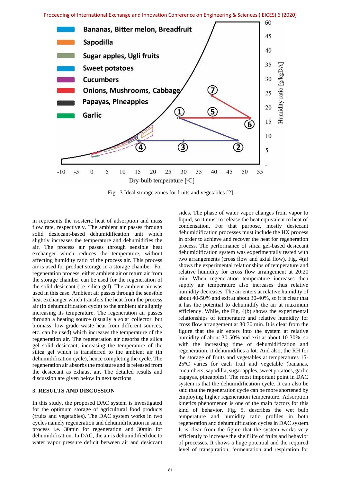

Fig. 3.Ideal storage zones for fruits and vegetables [2]

m represents the isosteric heat of adsorption and mass flow rate, respectively. The ambient air passes through solid desiccant-based dehumidification unit which slightly increases the temperature and dehumidifies the air. The process air passes through sensible heat exchanger which reduces the temperature, without affecting humidity ratio of the process air. This process air is used for product storage in a storage chamber. For regeneration process, either ambient air or return air from the storage chamber can be used for the regeneration of the solid desiccant (i.e. silica gel). The ambient air was used in this case. Ambient air passes through the sensible heat exchanger which transfers the heat from the process air (in dehumidification cycle) to the ambient air slightly increasing its temperature. The regeneration air passes through a heating source (usually a solar collector, but biomass, low grade waste heat from different sources, etc. can be used) which increases the temperature of the regeneration air. The regeneration air desorbs the silica gel solid desiccant, increasing the temperature of the silica gel which is transferred to the ambient air (in dehumidification cycle), hence completing the cycle. The regeneration air absorbs the moisture and is released from the desiccant as exhaust air. The detailed results and discussion are given below in next sections

#### **3. RESULTS AND DISCUSSION**

In this study, the proposed DAC system is investigated for the optimum storage of agricultural food products (fruits and vegetables). The DAC system works in two cycles namely regeneration and dehumidification in same process i.e. 30min for regeneration and 30min for dehumidification. In DAC, the air is dehumidified due to water vapor pressure deficit between air and desiccant sides. The phase of water vapor changes from vapor to liquid, so it must to release the heat equivalent to heat of condensation. For that purpose, mostly desiccant dehumidification processes must include the HX process in order to achieve and recover the heat for regeneration process. The performance of silica gel-based desiccant dehumidification system was experimentally tested with two arrangements (cross flow and axial flow). Fig. 4(a) shows the experimental relationships of temperature and relative humidity for cross flow arrangement at 20:20 min. When regeneration temperature increases then supply air temperature also increases thus relative humidity decreases. The air enters at relative humidity of about 40-50% and exit at about 30-40%, so it is clear that it has the potential to dehumidify the air at maximum efficiency. While, the Fig. 4(b) shows the experimental relationships of temperature and relative humidity for cross flow arrangement at 30:30 min. It is clear from the figure that the air enters into the system at relative humidity of about 30-50% and exit at about 10-30%, so with the increasing time of dehumidification and regeneration, it dehumidifies a lot. And also, the RH for the storage of fruits and vegetables at temperatures 15- 25°C varies for each fruit and vegetable (bananas, cucumbers, sapodilla, sugar apples, sweet potatoes, garlic, papayas, pineapples). The most important point in DAC system is that the dehumidification cycle. It can also be said that the regeneration cycle can be more shortened by employing higher regeneration temperature. Adsorption kinetics phenomenon is one of the main factors for this kind of behavior. Fig. 5. describes the wet bulb temperature and humidity ratio profiles in both regeneration and dehumidification cycles in DAC system. It is clear from the figure that the system works very efficiently to increase the shelf life of fruits and behavior of processes. It shows a huge potential and the required level of transpiration, fermentation and respiration for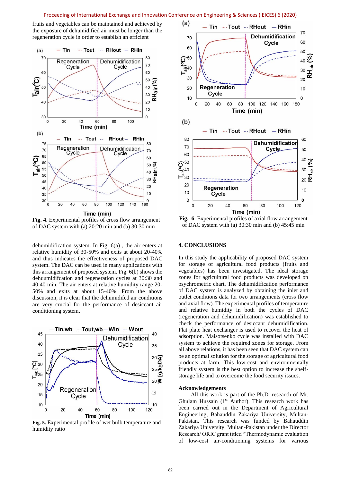#### Proceeding of International Exchange and Innovation Conference on Engineering & Sciences (IEICES) 6 (2020)

fruits and vegetables can be maintained and achieved by the exposure of dehumidified air must be longer than the regeneration cycle in order to establish an efficient



**Fig. 4.** Experimental profiles of cross flow arrangement of DAC system with (a) 20:20 min and (b) 30:30 min

dehumidification system. In Fig. 6(a) , the air enters at relative humidity of 30-50% and exits at about 20-40% and thus indicates the effectiveness of proposed DAC system. The DAC can be used in many applications with this arrangement of proposed system. Fig. 6(b) shows the dehuumidifcation and regeneration cycles at 30:30 and 40:40 min. The air enters at relative humidity range 20- 50% and exits at about 15-40%. From the above discussion, it is clear that the dehumidifed air conditions are very crucial for the performance of desiccant air conditioning system.



**Fig. 5.** Experimental profile of wet bulb temperature and humidity ratio



**Fig. 6**. Experimental profiles of axial flow arrangement of DAC system with (a) 30:30 min and (b) 45:45 min

#### **4. CONCLUSIONS**

In this study the applicability of proposed DAC system for storage of agricultural food products (fruits and vegetables) has been investigated. The ideal storage zones for agricultural food products was developed on psychrometric chart. The dehumidification performance of DAC system is analyzed by obtaining the inlet and outlet conditions data for two arrangements (cross flow and axial flow). The experimental profiles of temperature and relative humidity in both the cycles of DAC (regeneration and dehumidification) was established to check the performance of desiccant dehumidification. Flat plate heat exchanger is used to recover the heat of adsorption. Maisotsenko cycle was installed with DAC system to achieve the required zones for storage. From all above relations, it has been seen that DAC system can be an optimal solution for the storage of agricultural food products at farm. This low-cost and environmentally friendly system is the best option to increase the shelfstorage life and to overcome the food security issues.

#### **Acknowledgements**

All this work is part of the Ph.D. research of Mr. Ghulam Hussain ( $1<sup>st</sup>$  Author). This research work has been carried out in the Department of Agricultural Engineering, Bahauddin Zakariya University, Multan-Pakistan. This research was funded by Bahauddin Zakariya University, Multan-Pakistan under the Director Research/ ORIC grant titled "Thermodynamic evaluation of low-cost air-conditioning systems for various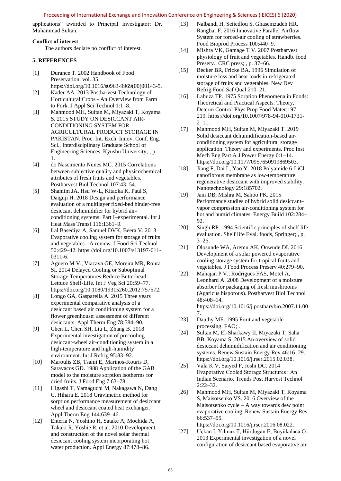#### Proceeding of International Exchange and Innovation Conference on Engineering & Sciences (IEICES) 6 (2020)

applications" awarded to Principal Investigator: Dr. Muhammad Sultan*.*

# **Conflict of interest**

The authors declare no conflict of interest.

# **5. REFERENCES**

- [1] Durance T. 2002 Handbook of Food Preservation. vol. 35. https://doi.org/10.1016/s0963-9969(00)00143-5.
- [2] Kader AA. 2013 Postharvest Technology of Horticultural Crops - An Overview from Farm to Fork. J Appl Sci Technol 1:1–8.
- [3] Mahmood MH, Sultan M, Miyazaki T, Koyama S. 2015 STUDY ON DESICCANT AIR-CONDITIONING SYSTEM FOR AGRICULTURAL PRODUCT STORAGE IN PAKISTAN. Proc. Int. Exch. Innov. Conf. Eng. Sci., Interdisciplinary Graduate School of Engineering Sciences, Kyushu University; , p. 1.
- [4] do Nascimento Nunes MC. 2015 Correlations between subjective quality and physicochemical attributes of fresh fruits and vegetables. Postharvest Biol Technol 107:43–54.
- [5] Shamim JA, Hsu W-L, Kitaoka K, Paul S, Daiguji H. 2018 Design and performance evaluation of a multilayer fixed-bed binder-free desiccant dehumidifier for hybrid airconditioning systems: Part I–experimental. Int J Heat Mass Transf 116:1361–9.
- [6] Lal Basediya A, Samuel DVK, Beera V. 2013 Evaporative cooling system for storage of fruits and vegetables - A review. J Food Sci Technol 50:429–42. https://doi.org/10.1007/s13197-011- 0311-6.
- [7] Agüero M V., Viacava GE, Moreira MR, Roura SI. 2014 Delayed Cooling or Suboptimal Storage Temperatures Reduce Butterhead Lettuce Shelf-Life. Int J Veg Sci 20:59–77. https://doi.org/10.1080/19315260.2012.757572.
- [8] Longo GA, Gasparella A. 2015 Three years experimental comparative analysis of a desiccant based air conditioning system for a flower greenhouse: assessment of different desiccants. Appl Therm Eng 78:584–90.
- [9] Chen L, Chen SH, Liu L, Zhang B. 2018 Experimental investigation of precooling desiccant-wheel air-conditioning system in a high-temperature and high-humidity environment. Int J Refrig 95:83–92.
- [10] Maroulis ZB, Tsami E, Marinos-Kouris D, Saravacos GD. 1988 Application of the GAB model to the moisture sorption isotherms for dried fruits. J Food Eng 7:63–78.
- [11] Higashi T, Yamaguchi M, Nakagawa N, Dang C, Hihara E. 2018 Gravimetric method for sorption performance measurement of desiccant wheel and desiccant coated heat exchanger. Appl Therm Eng 144:639–46.
- [12] Enteria N, Yoshino H, Satake A, Mochida A, Takaki R, Yoshie R, et al. 2010 Development and construction of the novel solar thermal desiccant cooling system incorporating hot water production. Appl Energy 87:478–86.
- [13] Nalbandi H, Seiiedlou S, Ghasemzadeh HR, Rangbar F. 2016 Innovative Parallel Airflow System for forced-air cooling of strawberries. Food Bioprod Process 100:440–9.
- [14] Mishra VK, Gamage T V. 2007 Postharvest physiology of fruit and vegetables. Handb. food Preserv., CRC press; , p. 37–66.
- [15] Becker BR, Fricke BA. 1996 Simulation of moisture loss and heat loads in refrigerated storage of fruits and vegetables. New Dev Refrig Food Saf Qual:210–21.
- [16] Labuza TP. 1975 Sorption Phenomena in Foods: Theoretical and Practical Aspects. Theory, Determ Control Phys Prop Food Mater:197– 219. https://doi.org/10.1007/978-94-010-1731- 2\_11.
- [17] Mahmood MH, Sultan M, Miyazaki T. 2019 Solid desiccant dehumidification-based airconditioning system for agricultural storage application: Theory and experiments. Proc Inst Mech Eng Part A J Power Energy 0:1–14. https://doi.org/10.1177/0957650919869503.
- [18] Jiang F, Dai L, Yao Y. 2018 Polyamide 6-LiCl nanofibrous membrane as low-temperature regenerative desiccant with improved stability. Nanotechnology 29:185702.
- [19] Jani DB, Mishra M, Sahoo PK. 2015 Performance studies of hybrid solid desiccant– vapor compression air-conditioning system for hot and humid climates. Energy Build 102:284– 92.
- [20] Singh RP. 1994 Scientific principles of shelf life evaluation. Shelf life Eval. foods, Springer; , p. 3–26.
- [21] Olosunde WA, Aremu AK, Onwude DI. 2016 Development of a solar powered evaporative cooling storage system for tropical fruits and vegetables. J Food Process Preserv 40:279–90.
- [22] Mahajan P V., Rodrigues FAS, Motel A, Leonhard A. 2008 Development of a moisture absorber for packaging of fresh mushrooms (Agaricus bisporous). Postharvest Biol Technol 48:408–14. https://doi.org/10.1016/j.postharvbio.2007.11.00 7.
- [23] Dauthy ME. 1995 Fruit and vegetable processing. FAO; .
- [24] Sultan M, El-Sharkawy II, Miyazaki T, Saha BB, Koyama S. 2015 An overview of solid desiccant dehumidification and air conditioning systems. Renew Sustain Energy Rev 46:16–29. https://doi.org/10.1016/j.rser.2015.02.038.
- [25] Vala K V, Saiyed F, Joshi DC. 2014 Evaporative Cooled Storage Structures : An Indian Scenario. Trends Post Harvest Technol 2:22–32.
- [26] Mahmood MH, Sultan M, Miyazaki T, Koyama S, Maisotsenko VS. 2016 Overview of the Maisotsenko cycle – A way towards dew point evaporative cooling. Renew Sustain Energy Rev 66:537–55.

https://doi.org/10.1016/j.rser.2016.08.022.

[27] Uçkan İ, Yılmaz T, Hürdoğan E, Büyükalaca O. 2013 Experimental investigation of a novel configuration of desiccant based evaporative air